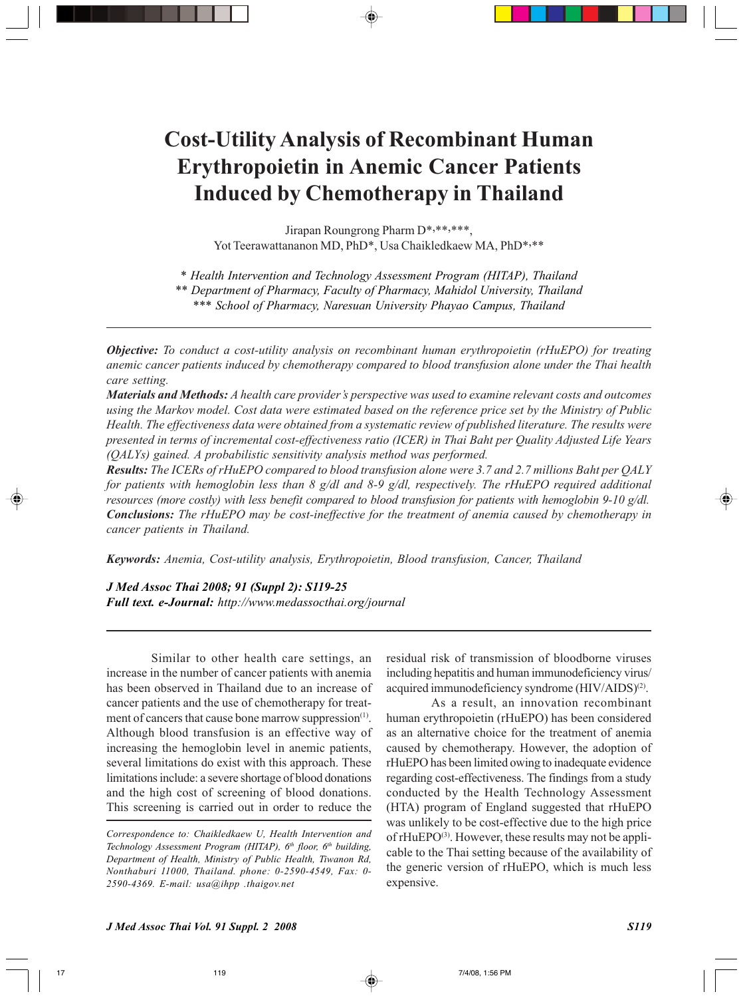# **Cost-Utility Analysis of Recombinant Human Erythropoietin in Anemic Cancer Patients Induced by Chemotherapy in Thailand**

Jirapan Roungrong Pharm D\*,\*\*,\*\*\*, Yot Teerawattananon MD, PhD<sup>\*</sup>, Usa Chaikledkaew MA, PhD<sup>\*,\*\*</sup>

*\* Health Intervention and Technology Assessment Program (HITAP), Thailand \*\* Department of Pharmacy, Faculty of Pharmacy, Mahidol University, Thailand \*\*\* School of Pharmacy, Naresuan University Phayao Campus, Thailand*

*Objective: To conduct a cost-utility analysis on recombinant human erythropoietin (rHuEPO) for treating anemic cancer patients induced by chemotherapy compared to blood transfusion alone under the Thai health care setting.*

*Materials and Methods: A health care provider's perspective was used to examine relevant costs and outcomes using the Markov model. Cost data were estimated based on the reference price set by the Ministry of Public Health. The effectiveness data were obtained from a systematic review of published literature. The results were presented in terms of incremental cost-effectiveness ratio (ICER) in Thai Baht per Quality Adjusted Life Years (QALYs) gained. A probabilistic sensitivity analysis method was performed.*

*Results: The ICERs of rHuEPO compared to blood transfusion alone were 3.7 and 2.7 millions Baht per QALY for patients with hemoglobin less than 8 g/dl and 8-9 g/dl, respectively. The rHuEPO required additional resources (more costly) with less benefit compared to blood transfusion for patients with hemoglobin 9-10 g/dl. Conclusions: The rHuEPO may be cost-ineffective for the treatment of anemia caused by chemotherapy in cancer patients in Thailand.*

*Keywords: Anemia, Cost-utility analysis, Erythropoietin, Blood transfusion, Cancer, Thailand*

*J Med Assoc Thai 2008; 91 (Suppl 2): S119-25 Full text. e-Journal: http://www.medassocthai.org/journal*

Similar to other health care settings, an increase in the number of cancer patients with anemia has been observed in Thailand due to an increase of cancer patients and the use of chemotherapy for treatment of cancers that cause bone marrow suppression<sup>(1)</sup>. Although blood transfusion is an effective way of increasing the hemoglobin level in anemic patients, several limitations do exist with this approach. These limitations include: a severe shortage of blood donations and the high cost of screening of blood donations. This screening is carried out in order to reduce the

*Correspondence to: Chaikledkaew U, Health Intervention and Technology Assessment Program (HITAP), 6th floor, 6th building, Department of Health, Ministry of Public Health, Tiwanon Rd, Nonthaburi 11000, Thailand. phone: 0-2590-4549, Fax: 0- 2590-4369. E-mail: usa@ihpp .thaigov.net*

residual risk of transmission of bloodborne viruses including hepatitis and human immunodeficiency virus/ acquired immunodeficiency syndrome (HIV/AIDS)<sup>(2)</sup>.

As a result, an innovation recombinant human erythropoietin (rHuEPO) has been considered as an alternative choice for the treatment of anemia caused by chemotherapy. However, the adoption of rHuEPO has been limited owing to inadequate evidence regarding cost-effectiveness. The findings from a study conducted by the Health Technology Assessment (HTA) program of England suggested that rHuEPO was unlikely to be cost-effective due to the high price of rHuEPO<sup>(3)</sup>. However, these results may not be applicable to the Thai setting because of the availability of the generic version of rHuEPO, which is much less expensive.

*J Med Assoc Thai Vol. 91 Suppl. 2 2008 S119*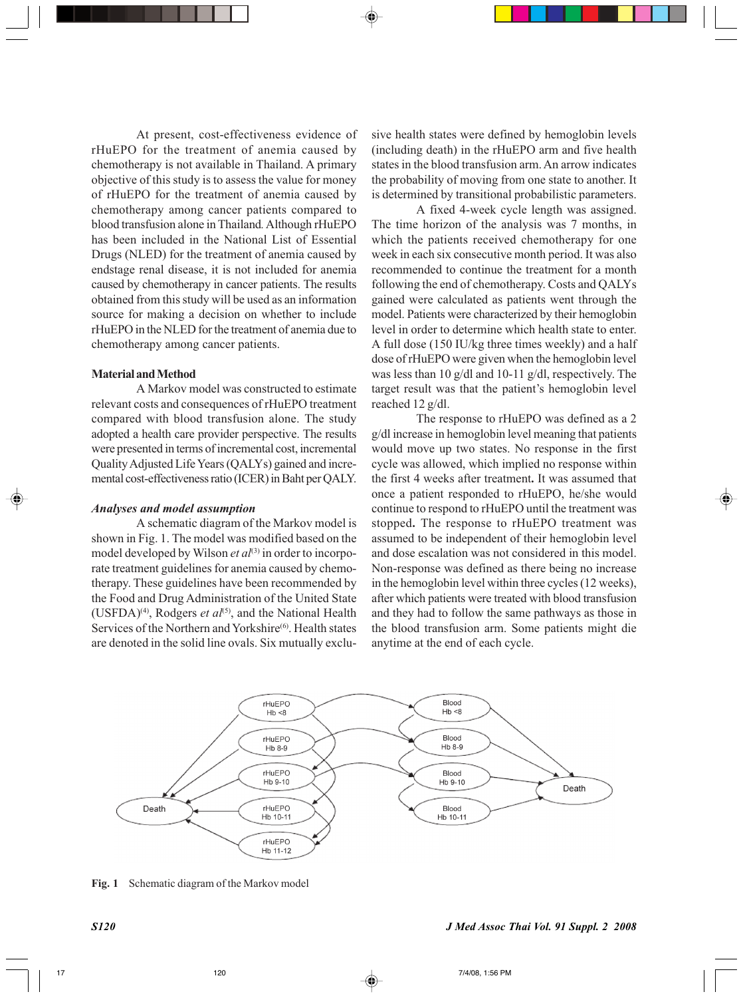At present, cost-effectiveness evidence of rHuEPO for the treatment of anemia caused by chemotherapy is not available in Thailand. A primary objective of this study is to assess the value for money of rHuEPO for the treatment of anemia caused by chemotherapy among cancer patients compared to blood transfusion alone in Thailand*.* Although rHuEPO has been included in the National List of Essential Drugs (NLED) for the treatment of anemia caused by endstage renal disease, it is not included for anemia caused by chemotherapy in cancer patients. The results obtained from this study will be used as an information source for making a decision on whether to include rHuEPO in the NLED for the treatment of anemia due to chemotherapy among cancer patients.

#### **Material and Method**

A Markov model was constructed to estimate relevant costs and consequences of rHuEPO treatment compared with blood transfusion alone. The study adopted a health care provider perspective. The results were presented in terms of incremental cost, incremental Quality Adjusted Life Years (QALYs) gained and incremental cost-effectiveness ratio (ICER) in Baht per QALY.

## *Analyses and model assumption*

A schematic diagram of the Markov model is shown in Fig. 1. The model was modified based on the model developed by Wilson *et al*<sup>(3)</sup> in order to incorporate treatment guidelines for anemia caused by chemotherapy. These guidelines have been recommended by the Food and Drug Administration of the United State (USFDA)<sup>(4)</sup>, Rodgers *et al*<sup>(5)</sup>, and the National Health Services of the Northern and Yorkshire<sup>(6)</sup>. Health states are denoted in the solid line ovals. Six mutually exclusive health states were defined by hemoglobin levels (including death) in the rHuEPO arm and five health states in the blood transfusion arm. An arrow indicates the probability of moving from one state to another. It is determined by transitional probabilistic parameters.

A fixed 4-week cycle length was assigned. The time horizon of the analysis was 7 months, in which the patients received chemotherapy for one week in each six consecutive month period. It was also recommended to continue the treatment for a month following the end of chemotherapy. Costs and QALYs gained were calculated as patients went through the model. Patients were characterized by their hemoglobin level in order to determine which health state to enter. A full dose (150 IU/kg three times weekly) and a half dose of rHuEPO were given when the hemoglobin level was less than 10 g/dl and 10-11 g/dl, respectively. The target result was that the patient's hemoglobin level reached 12 g/dl.

The response to rHuEPO was defined as a 2 g/dl increase in hemoglobin level meaning that patients would move up two states. No response in the first cycle was allowed, which implied no response within the first 4 weeks after treatment**.** It was assumed that once a patient responded to rHuEPO, he/she would continue to respond to rHuEPO until the treatment was stopped**.** The response to rHuEPO treatment was assumed to be independent of their hemoglobin level and dose escalation was not considered in this model. Non-response was defined as there being no increase in the hemoglobin level within three cycles (12 weeks), after which patients were treated with blood transfusion and they had to follow the same pathways as those in the blood transfusion arm. Some patients might die anytime at the end of each cycle.



**Fig. 1** Schematic diagram of the Markov model

*S120 J Med Assoc Thai Vol. 91 Suppl. 2 2008*

17 **17** 120 **120 120 120 120 120 120 120 120 120 120 120 120 120 120 120 120 120 120 120 120 120 120 120 120 120 120 120 120 120 120 120 120 120 120 120**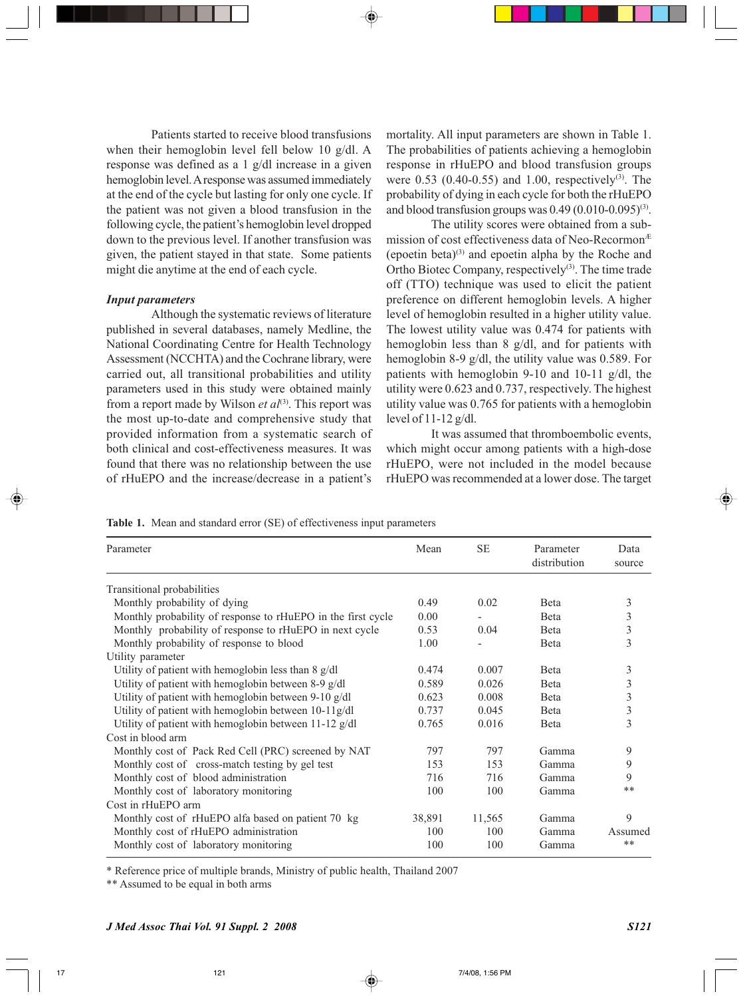Patients started to receive blood transfusions when their hemoglobin level fell below 10 g/dl. A response was defined as a 1 g/dl increase in a given hemoglobin level. A response was assumed immediately at the end of the cycle but lasting for only one cycle. If the patient was not given a blood transfusion in the following cycle, the patient's hemoglobin level dropped down to the previous level. If another transfusion was given, the patient stayed in that state. Some patients might die anytime at the end of each cycle.

## *Input parameters*

Although the systematic reviews of literature published in several databases, namely Medline, the National Coordinating Centre for Health Technology Assessment (NCCHTA) and the Cochrane library, were carried out, all transitional probabilities and utility parameters used in this study were obtained mainly from a report made by Wilson *et al*<sup>(3)</sup>. This report was the most up-to-date and comprehensive study that provided information from a systematic search of both clinical and cost-effectiveness measures. It was found that there was no relationship between the use of rHuEPO and the increase/decrease in a patient's

mortality. All input parameters are shown in Table 1. The probabilities of patients achieving a hemoglobin response in rHuEPO and blood transfusion groups were  $0.53$  (0.40-0.55) and 1.00, respectively<sup>(3)</sup>. The probability of dying in each cycle for both the rHuEPO and blood transfusion groups was  $0.49 (0.010 - 0.095)^{(3)}$ .

The utility scores were obtained from a submission of cost effectiveness data of Neo-RecormonÆ (epoetin beta)(3) and epoetin alpha by the Roche and Ortho Biotec Company, respectively $(3)$ . The time trade off (TTO) technique was used to elicit the patient preference on different hemoglobin levels. A higher level of hemoglobin resulted in a higher utility value. The lowest utility value was 0.474 for patients with hemoglobin less than 8 g/dl, and for patients with hemoglobin 8-9 g/dl, the utility value was 0.589. For patients with hemoglobin 9-10 and 10-11 g/dl, the utility were 0.623 and 0.737, respectively. The highest utility value was 0.765 for patients with a hemoglobin level of 11-12 g/dl.

It was assumed that thromboembolic events, which might occur among patients with a high-dose rHuEPO, were not included in the model because rHuEPO was recommended at a lower dose. The target

**Table 1.** Mean and standard error (SE) of effectiveness input parameters

| Parameter                                                    | Mean   | <b>SE</b> | Parameter<br>distribution | Data<br>source |
|--------------------------------------------------------------|--------|-----------|---------------------------|----------------|
| Transitional probabilities                                   |        |           |                           |                |
| Monthly probability of dying                                 | 0.49   | 0.02      | <b>B</b> eta              | 3              |
| Monthly probability of response to rHuEPO in the first cycle | 0.00   |           | <b>B</b> eta              | 3              |
| Monthly probability of response to rHuEPO in next cycle      | 0.53   | 0.04      | <b>B</b> eta              | 3              |
| Monthly probability of response to blood                     | 1.00   |           | <b>B</b> eta              | 3              |
| Utility parameter                                            |        |           |                           |                |
| Utility of patient with hemoglobin less than 8 g/dl          | 0.474  | 0.007     | <b>B</b> eta              | 3              |
| Utility of patient with hemoglobin between 8-9 g/dl          | 0.589  | 0.026     | <b>B</b> eta              | 3              |
| Utility of patient with hemoglobin between 9-10 g/dl         | 0.623  | 0.008     | <b>B</b> eta              | 3              |
| Utility of patient with hemoglobin between 10-11g/dl         | 0.737  | 0.045     | <b>B</b> eta              | 3              |
| Utility of patient with hemoglobin between $11-12$ g/dl      | 0.765  | 0.016     | <b>B</b> eta              | 3              |
| Cost in blood arm                                            |        |           |                           |                |
| Monthly cost of Pack Red Cell (PRC) screened by NAT          | 797    | 797       | Gamma                     | 9              |
| Monthly cost of cross-match testing by gel test              | 153    | 153       | Gamma                     | 9              |
| Monthly cost of blood administration                         | 716    | 716       | Gamma                     | 9              |
| Monthly cost of laboratory monitoring                        | 100    | 100       | Gamma                     | **             |
| Cost in rHuEPO arm                                           |        |           |                           |                |
| Monthly cost of rHuEPO alfa based on patient 70 kg           | 38,891 | 11,565    | Gamma                     | 9              |
| Monthly cost of rHuEPO administration                        | 100    | 100       | Gamma                     | Assumed        |
| Monthly cost of laboratory monitoring                        | 100    | 100       | Gamma                     | **             |

\* Reference price of multiple brands, Ministry of public health, Thailand 2007

\*\* Assumed to be equal in both arms

*J Med Assoc Thai Vol. 91 Suppl. 2 2008 S121*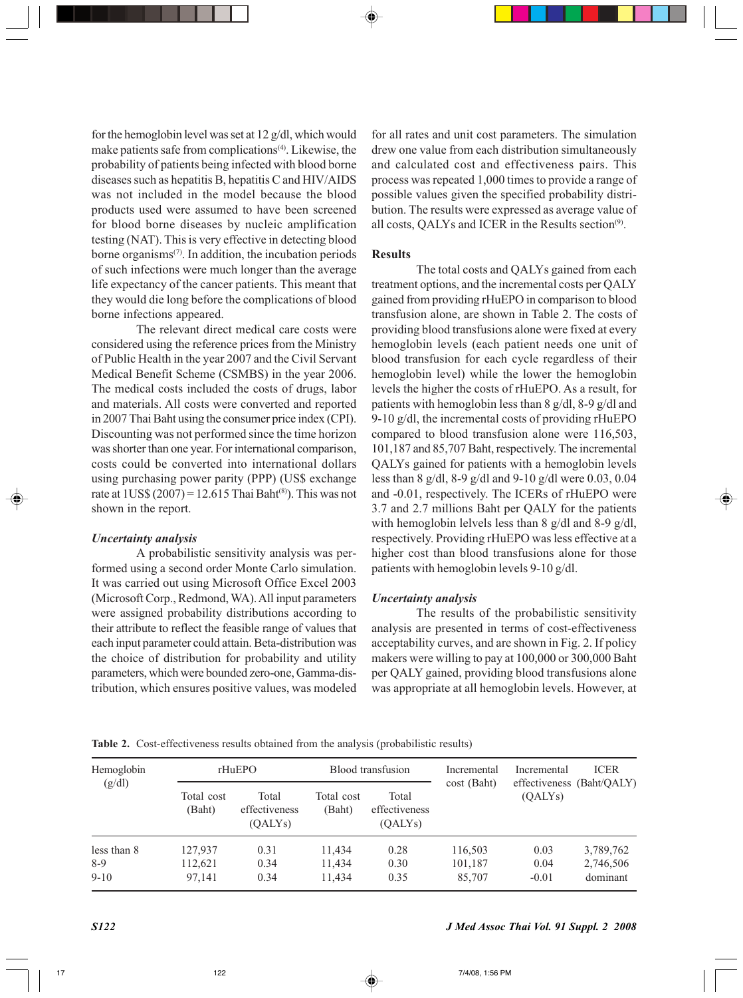for the hemoglobin level was set at 12 g/dl, which would make patients safe from complications<sup>(4)</sup>. Likewise, the probability of patients being infected with blood borne diseases such as hepatitis B, hepatitis C and HIV/AIDS was not included in the model because the blood products used were assumed to have been screened for blood borne diseases by nucleic amplification testing (NAT). This is very effective in detecting blood borne organisms $(7)$ . In addition, the incubation periods of such infections were much longer than the average life expectancy of the cancer patients. This meant that they would die long before the complications of blood borne infections appeared.

The relevant direct medical care costs were considered using the reference prices from the Ministry of Public Health in the year 2007 and the Civil Servant Medical Benefit Scheme (CSMBS) in the year 2006. The medical costs included the costs of drugs, labor and materials. All costs were converted and reported in 2007 Thai Baht using the consumer price index (CPI). Discounting was not performed since the time horizon was shorter than one year. For international comparison, costs could be converted into international dollars using purchasing power parity (PPP) (US\$ exchange rate at  $1US\$  (2007) = 12.615 Thai Baht<sup>(8)</sup>). This was not shown in the report.

## *Uncertainty analysis*

A probabilistic sensitivity analysis was performed using a second order Monte Carlo simulation. It was carried out using Microsoft Office Excel 2003 (Microsoft Corp., Redmond, WA). All input parameters were assigned probability distributions according to their attribute to reflect the feasible range of values that each input parameter could attain. Beta-distribution was the choice of distribution for probability and utility parameters, which were bounded zero-one, Gamma-distribution, which ensures positive values, was modeled

for all rates and unit cost parameters. The simulation drew one value from each distribution simultaneously and calculated cost and effectiveness pairs. This process was repeated 1,000 times to provide a range of possible values given the specified probability distribution. The results were expressed as average value of all costs, QALYs and ICER in the Results section<sup>(9)</sup>.

### **Results**

The total costs and QALYs gained from each treatment options, and the incremental costs per QALY gained from providing rHuEPO in comparison to blood transfusion alone, are shown in Table 2. The costs of providing blood transfusions alone were fixed at every hemoglobin levels (each patient needs one unit of blood transfusion for each cycle regardless of their hemoglobin level) while the lower the hemoglobin levels the higher the costs of rHuEPO. As a result, for patients with hemoglobin less than 8 g/dl, 8-9 g/dl and 9-10 g/dl, the incremental costs of providing rHuEPO compared to blood transfusion alone were 116,503, 101,187 and 85,707 Baht, respectively. The incremental QALYs gained for patients with a hemoglobin levels less than 8 g/dl, 8-9 g/dl and 9-10 g/dl were 0.03, 0.04 and -0.01, respectively. The ICERs of rHuEPO were 3.7 and 2.7 millions Baht per QALY for the patients with hemoglobin lelvels less than 8 g/dl and 8-9 g/dl, respectively. Providing rHuEPO was less effective at a higher cost than blood transfusions alone for those patients with hemoglobin levels 9-10 g/dl.

## *Uncertainty analysis*

The results of the probabilistic sensitivity analysis are presented in terms of cost-effectiveness acceptability curves, and are shown in Fig. 2. If policy makers were willing to pay at 100,000 or 300,000 Baht per QALY gained, providing blood transfusions alone was appropriate at all hemoglobin levels. However, at

**Table 2.** Cost-effectiveness results obtained from the analysis (probabilistic results)

| Hemoglobin<br>(g/dl) | rHuEPO               |                                   | Blood transfusion    |                                   | Incremental<br>cost (Baht) | Incremental | <b>ICER</b><br>effectiveness (Baht/OALY) |
|----------------------|----------------------|-----------------------------------|----------------------|-----------------------------------|----------------------------|-------------|------------------------------------------|
|                      | Total cost<br>(Baht) | Total<br>effectiveness<br>(OALYs) | Total cost<br>(Baht) | Total<br>effectiveness<br>(OALYs) |                            | (OALYs)     |                                          |
| less than 8          | 127,937              | 0.31                              | 11,434               | 0.28                              | 116,503                    | 0.03        | 3,789,762                                |
| $8-9$                | 112.621              | 0.34                              | 11,434               | 0.30                              | 101,187                    | 0.04        | 2,746,506                                |
| $9-10$               | 97.141               | 0.34                              | 11.434               | 0.35                              | 85,707                     | $-0.01$     | dominant                                 |

*S122 J Med Assoc Thai Vol. 91 Suppl. 2 2008*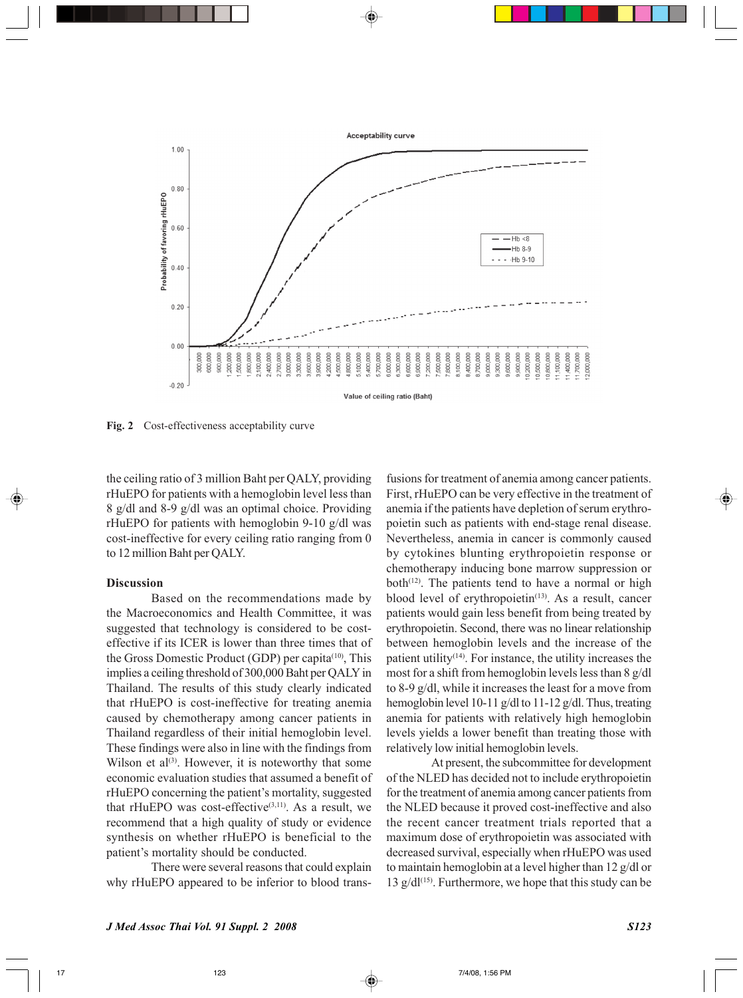

**Fig. 2** Cost-effectiveness acceptability curve

the ceiling ratio of 3 million Baht per QALY, providing rHuEPO for patients with a hemoglobin level less than 8 g/dl and 8-9 g/dl was an optimal choice. Providing rHuEPO for patients with hemoglobin 9-10 g/dl was cost-ineffective for every ceiling ratio ranging from 0 to 12 million Baht per QALY.

## **Discussion**

Based on the recommendations made by the Macroeconomics and Health Committee, it was suggested that technology is considered to be costeffective if its ICER is lower than three times that of the Gross Domestic Product (GDP) per capita<sup>(10)</sup>, This implies a ceiling threshold of 300,000 Baht per QALY in Thailand. The results of this study clearly indicated that rHuEPO is cost-ineffective for treating anemia caused by chemotherapy among cancer patients in Thailand regardless of their initial hemoglobin level. These findings were also in line with the findings from Wilson et al<sup>(3)</sup>. However, it is noteworthy that some economic evaluation studies that assumed a benefit of rHuEPO concerning the patient's mortality, suggested that rHuEPO was cost-effective $(3,11)$ . As a result, we recommend that a high quality of study or evidence synthesis on whether rHuEPO is beneficial to the patient's mortality should be conducted.

There were several reasons that could explain why rHuEPO appeared to be inferior to blood trans-

fusions for treatment of anemia among cancer patients. First, rHuEPO can be very effective in the treatment of anemia if the patients have depletion of serum erythropoietin such as patients with end-stage renal disease. Nevertheless, anemia in cancer is commonly caused by cytokines blunting erythropoietin response or chemotherapy inducing bone marrow suppression or both $(12)$ . The patients tend to have a normal or high blood level of erythropoietin<sup>(13)</sup>. As a result, cancer patients would gain less benefit from being treated by erythropoietin. Second, there was no linear relationship between hemoglobin levels and the increase of the patient utility<sup>(14)</sup>. For instance, the utility increases the most for a shift from hemoglobin levels less than 8 g/dl to 8-9 g/dl, while it increases the least for a move from hemoglobin level 10-11 g/dl to 11-12 g/dl. Thus, treating anemia for patients with relatively high hemoglobin levels yields a lower benefit than treating those with relatively low initial hemoglobin levels.

At present, the subcommittee for development of the NLED has decided not to include erythropoietin for the treatment of anemia among cancer patients from the NLED because it proved cost-ineffective and also the recent cancer treatment trials reported that a maximum dose of erythropoietin was associated with decreased survival, especially when rHuEPO was used to maintain hemoglobin at a level higher than 12 g/dl or 13  $g/dl^{(15)}$ . Furthermore, we hope that this study can be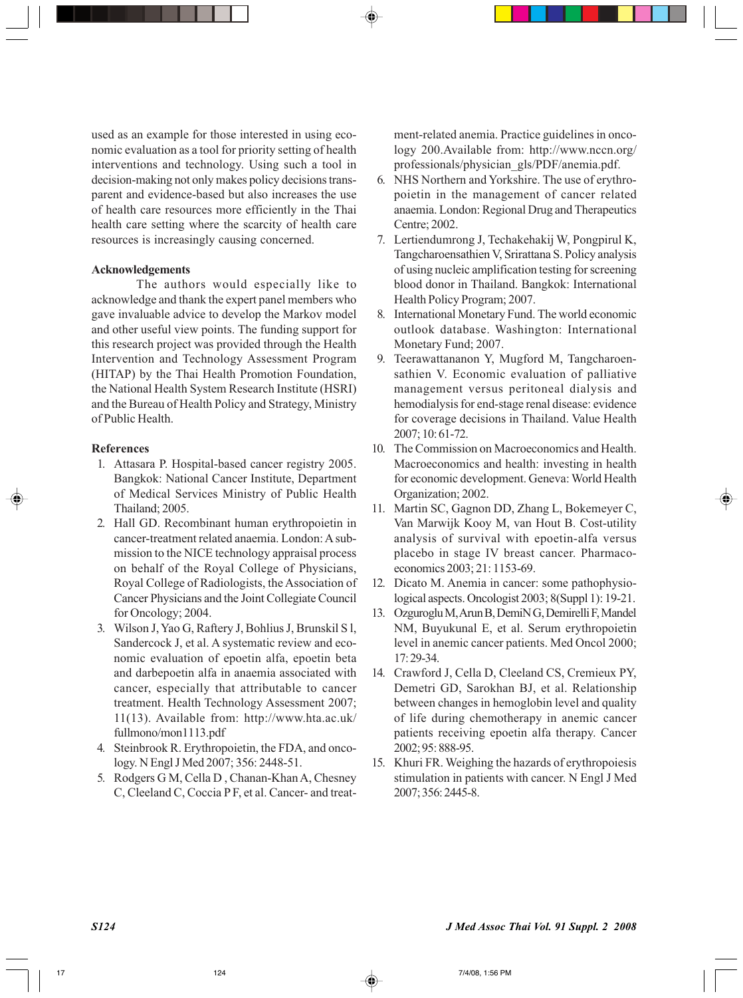used as an example for those interested in using economic evaluation as a tool for priority setting of health interventions and technology. Using such a tool in decision-making not only makes policy decisions transparent and evidence-based but also increases the use of health care resources more efficiently in the Thai health care setting where the scarcity of health care resources is increasingly causing concerned.

## **Acknowledgements**

The authors would especially like to acknowledge and thank the expert panel members who gave invaluable advice to develop the Markov model and other useful view points. The funding support for this research project was provided through the Health Intervention and Technology Assessment Program (HITAP) by the Thai Health Promotion Foundation, the National Health System Research Institute (HSRI) and the Bureau of Health Policy and Strategy, Ministry of Public Health.

### **References**

- 1. Attasara P. Hospital-based cancer registry 2005. Bangkok: National Cancer Institute, Department of Medical Services Ministry of Public Health Thailand; 2005.
- 2. Hall GD. Recombinant human erythropoietin in cancer-treatment related anaemia. London: A submission to the NICE technology appraisal process on behalf of the Royal College of Physicians, Royal College of Radiologists, the Association of Cancer Physicians and the Joint Collegiate Council for Oncology; 2004.
- 3. Wilson J, Yao G, Raftery J, Bohlius J, Brunskil S l, Sandercock J, et al. A systematic review and economic evaluation of epoetin alfa, epoetin beta and darbepoetin alfa in anaemia associated with cancer, especially that attributable to cancer treatment. Health Technology Assessment 2007; 11(13). Available from: http://www.hta.ac.uk/ fullmono/mon1113.pdf
- 4. Steinbrook R. Erythropoietin, the FDA, and oncology. N Engl J Med 2007; 356: 2448-51.
- 5. Rodgers G M, Cella D , Chanan-Khan A, Chesney C, Cleeland C, Coccia P F, et al. Cancer- and treat-

ment-related anemia. Practice guidelines in oncology 200.Available from: http://www.nccn.org/ professionals/physician\_gls/PDF/anemia.pdf.

- 6. NHS Northern and Yorkshire. The use of erythropoietin in the management of cancer related anaemia. London: Regional Drug and Therapeutics Centre; 2002.
- 7. Lertiendumrong J, Techakehakij W, Pongpirul K, Tangcharoensathien V, Srirattana S. Policy analysis of using nucleic amplification testing for screening blood donor in Thailand. Bangkok: International Health Policy Program; 2007.
- 8. International Monetary Fund. The world economic outlook database. Washington: International Monetary Fund; 2007.
- 9. Teerawattananon Y, Mugford M, Tangcharoensathien V. Economic evaluation of palliative management versus peritoneal dialysis and hemodialysis for end-stage renal disease: evidence for coverage decisions in Thailand. Value Health 2007; 10: 61-72.
- 10. The Commission on Macroeconomics and Health. Macroeconomics and health: investing in health for economic development. Geneva: World Health Organization; 2002.
- 11. Martin SC, Gagnon DD, Zhang L, Bokemeyer C, Van Marwijk Kooy M, van Hout B. Cost-utility analysis of survival with epoetin-alfa versus placebo in stage IV breast cancer. Pharmacoeconomics 2003; 21: 1153-69.
- 12. Dicato M. Anemia in cancer: some pathophysiological aspects. Oncologist 2003; 8(Suppl 1): 19-21.
- 13. Ozguroglu M, Arun B, DemiN G, Demirelli F, Mandel NM, Buyukunal E, et al. Serum erythropoietin level in anemic cancer patients. Med Oncol 2000; 17: 29-34.
- 14. Crawford J, Cella D, Cleeland CS, Cremieux PY, Demetri GD, Sarokhan BJ, et al. Relationship between changes in hemoglobin level and quality of life during chemotherapy in anemic cancer patients receiving epoetin alfa therapy. Cancer 2002; 95: 888-95.
- 15. Khuri FR. Weighing the hazards of erythropoiesis stimulation in patients with cancer. N Engl J Med 2007; 356: 2445-8.

*S124 J Med Assoc Thai Vol. 91 Suppl. 2 2008*

17 **17** 124 **124 124 1256 PM**